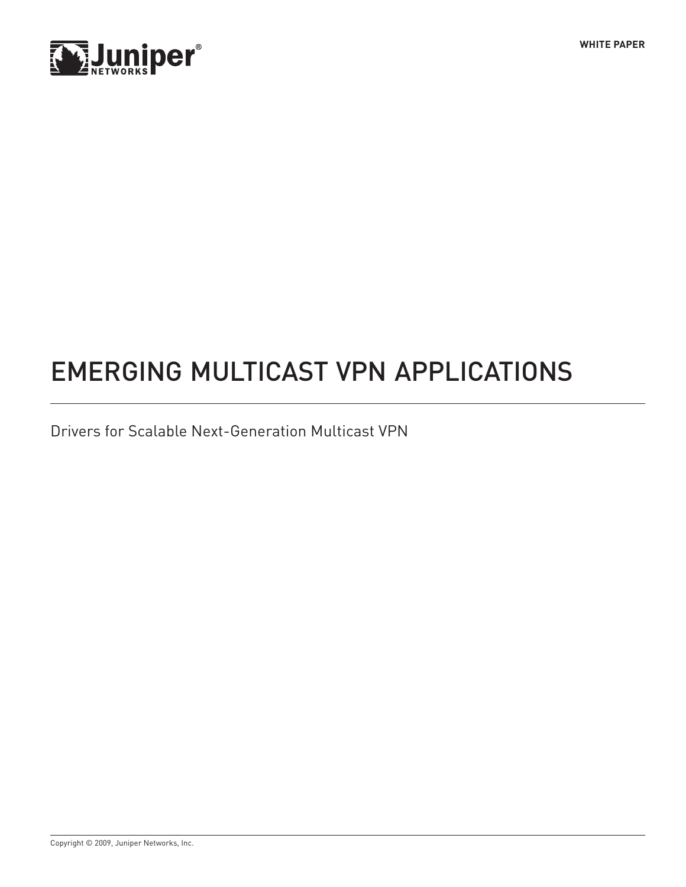



# Emerging Multicast VPN Applications

Drivers for Scalable Next-Generation Multicast VPN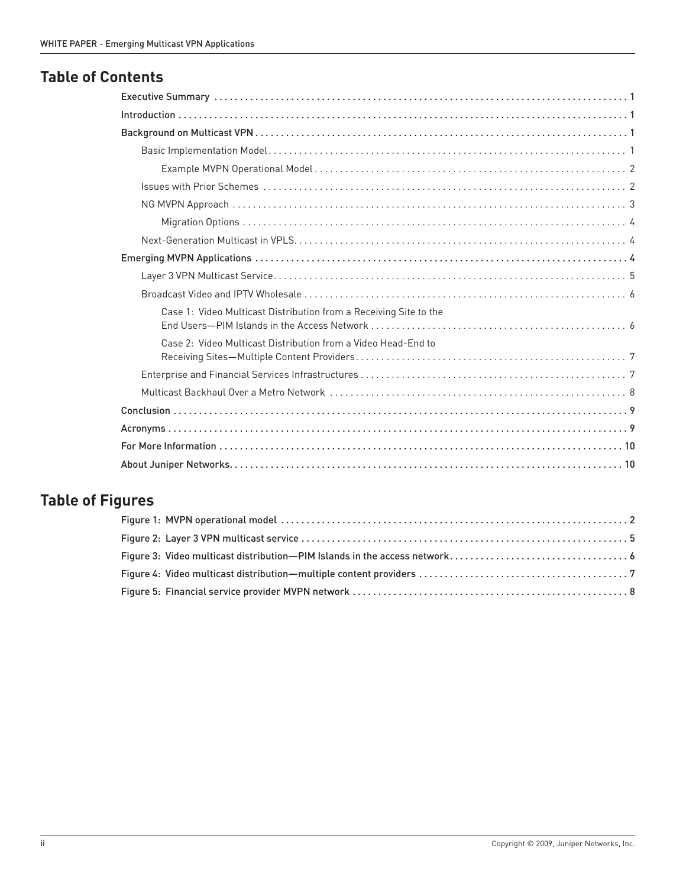# **Table of Contents**

| Case 1: Video Multicast Distribution from a Receiving Site to the                                              |
|----------------------------------------------------------------------------------------------------------------|
| Case 2: Video Multicast Distribution from a Video Head-End to                                                  |
|                                                                                                                |
| Multicast Backhaul Over a Metro Network (and the content of the content of the content of the set of the set o |
|                                                                                                                |
|                                                                                                                |
|                                                                                                                |
|                                                                                                                |

# **Table of Figures**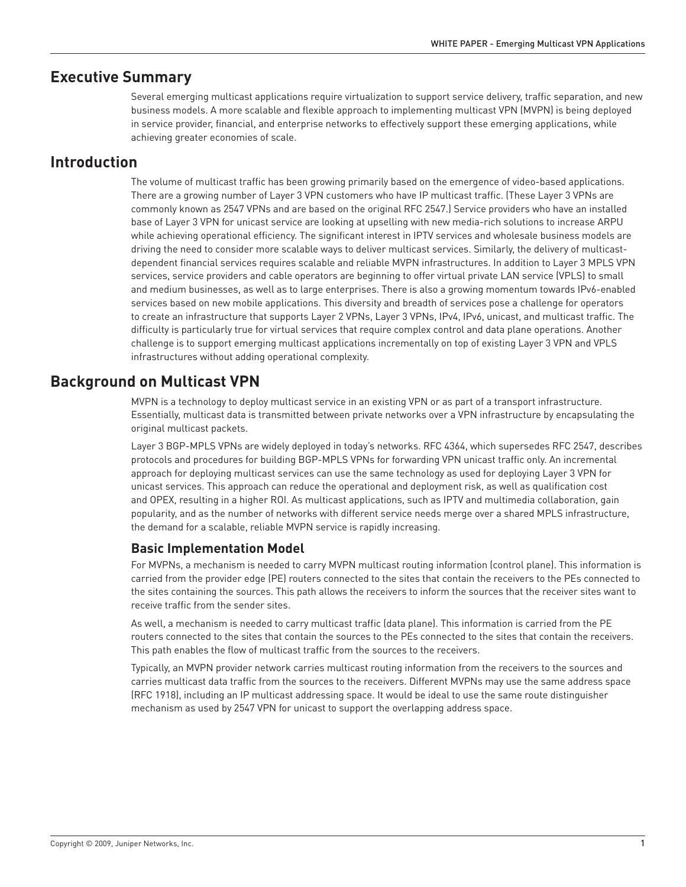## <span id="page-2-0"></span>**Executive Summary**

Several emerging multicast applications require virtualization to support service delivery, traffic separation, and new business models. A more scalable and flexible approach to implementing multicast VPN (MVPN) is being deployed in service provider, financial, and enterprise networks to effectively support these emerging applications, while achieving greater economies of scale.

## **Introduction**

The volume of multicast traffic has been growing primarily based on the emergence of video-based applications. There are a growing number of Layer 3 VPN customers who have IP multicast traffic. (These Layer 3 VPNs are commonly known as 2547 VPNs and are based on the original RFC 2547.) Service providers who have an installed base of Layer 3 VPN for unicast service are looking at upselling with new media-rich solutions to increase ARPU while achieving operational efficiency. The significant interest in IPTV services and wholesale business models are driving the need to consider more scalable ways to deliver multicast services. Similarly, the delivery of multicastdependent financial services requires scalable and reliable MVPN infrastructures. In addition to Layer 3 MPLS VPN services, service providers and cable operators are beginning to offer virtual private LAN service (VPLS) to small and medium businesses, as well as to large enterprises. There is also a growing momentum towards IPv6-enabled services based on new mobile applications. This diversity and breadth of services pose a challenge for operators to create an infrastructure that supports Layer 2 VPNs, Layer 3 VPNs, IPv4, IPv6, unicast, and multicast traffic. The difficulty is particularly true for virtual services that require complex control and data plane operations. Another challenge is to support emerging multicast applications incrementally on top of existing Layer 3 VPN and VPLS infrastructures without adding operational complexity.

## **Background on Multicast VPN**

MVPN is a technology to deploy multicast service in an existing VPN or as part of a transport infrastructure. Essentially, multicast data is transmitted between private networks over a VPN infrastructure by encapsulating the original multicast packets.

Layer 3 BGP-MPLS VPNs are widely deployed in today's networks. RFC 4364, which supersedes RFC 2547, describes protocols and procedures for building BGP-MPLS VPNs for forwarding VPN unicast traffic only. An incremental approach for deploying multicast services can use the same technology as used for deploying Layer 3 VPN for unicast services. This approach can reduce the operational and deployment risk, as well as qualification cost and OPEX, resulting in a higher ROI. As multicast applications, such as IPTV and multimedia collaboration, gain popularity, and as the number of networks with different service needs merge over a shared MPLS infrastructure, the demand for a scalable, reliable MVPN service is rapidly increasing.

## **Basic Implementation Model**

For MVPNs, a mechanism is needed to carry MVPN multicast routing information (control plane). This information is carried from the provider edge (PE) routers connected to the sites that contain the receivers to the PEs connected to the sites containing the sources. This path allows the receivers to inform the sources that the receiver sites want to receive traffic from the sender sites.

As well, a mechanism is needed to carry multicast traffic (data plane). This information is carried from the PE routers connected to the sites that contain the sources to the PEs connected to the sites that contain the receivers. This path enables the flow of multicast traffic from the sources to the receivers.

Typically, an MVPN provider network carries multicast routing information from the receivers to the sources and carries multicast data traffic from the sources to the receivers. Different MVPNs may use the same address space (RFC 1918), including an IP multicast addressing space. It would be ideal to use the same route distinguisher mechanism as used by 2547 VPN for unicast to support the overlapping address space.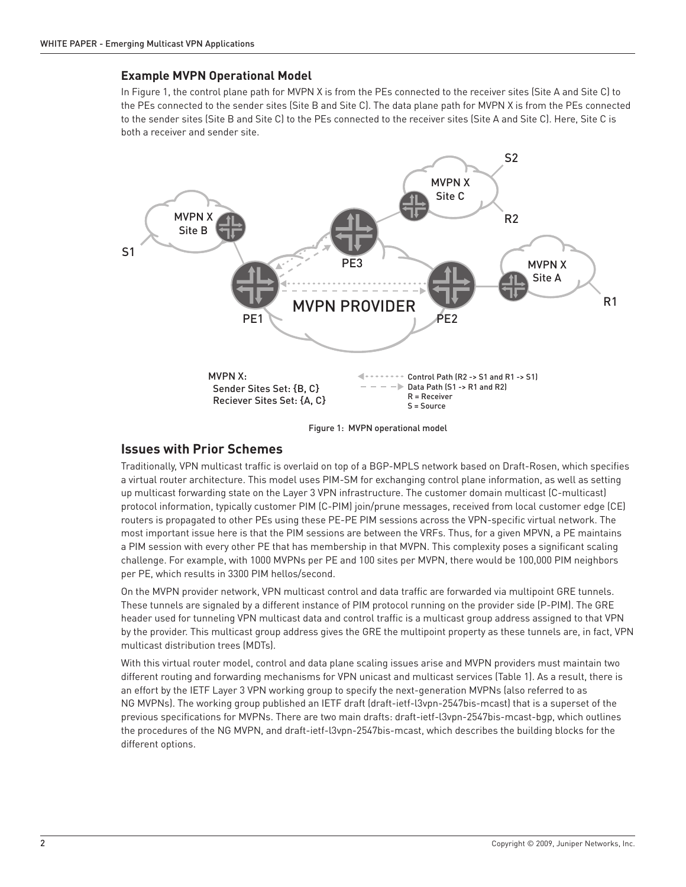#### <span id="page-3-0"></span>**Example MVPN Operational Model**

In Figure 1, the control plane path for MVPN X is from the PEs connected to the receiver sites (Site A and Site C) to the PEs connected to the sender sites (Site B and Site C). The data plane path for MVPN X is from the PEs connected to the sender sites (Site B and Site C) to the PEs connected to the receiver sites (Site A and Site C). Here, Site C is both a receiver and sender site.



Figure 1: MVPN operational model

### **Issues with Prior Schemes**

Traditionally, VPN multicast traffic is overlaid on top of a BGP-MPLS network based on Draft-Rosen, which specifies a virtual router architecture. This model uses PIM-SM for exchanging control plane information, as well as setting up multicast forwarding state on the Layer 3 VPN infrastructure. The customer domain multicast (C-multicast) protocol information, typically customer PIM (C-PIM) join/prune messages, received from local customer edge (CE) routers is propagated to other PEs using these PE-PE PIM sessions across the VPN-specific virtual network. The most important issue here is that the PIM sessions are between the VRFs. Thus, for a given MPVN, a PE maintains a PIM session with every other PE that has membership in that MVPN. This complexity poses a significant scaling challenge. For example, with 1000 MVPNs per PE and 100 sites per MVPN, there would be 100,000 PIM neighbors per PE, which results in 3300 PIM hellos/second.

On the MVPN provider network, VPN multicast control and data traffic are forwarded via multipoint GRE tunnels. These tunnels are signaled by a different instance of PIM protocol running on the provider side (P-PIM). The GRE header used for tunneling VPN multicast data and control traffic is a multicast group address assigned to that VPN by the provider. This multicast group address gives the GRE the multipoint property as these tunnels are, in fact, VPN multicast distribution trees (MDTs).

With this virtual router model, control and data plane scaling issues arise and MVPN providers must maintain two different routing and forwarding mechanisms for VPN unicast and multicast services (Table 1). As a result, there is an effort by the IETF Layer 3 VPN working group to specify the next-generation MVPNs (also referred to as NG MVPNs). The working group published an IETF draft (draft-ietf-l3vpn-2547bis-mcast) that is a superset of the previous specifications for MVPNs. There are two main drafts: draft-ietf-l3vpn-2547bis-mcast-bgp, which outlines the procedures of the NG MVPN, and draft-ietf-l3vpn-2547bis-mcast, which describes the building blocks for the different options.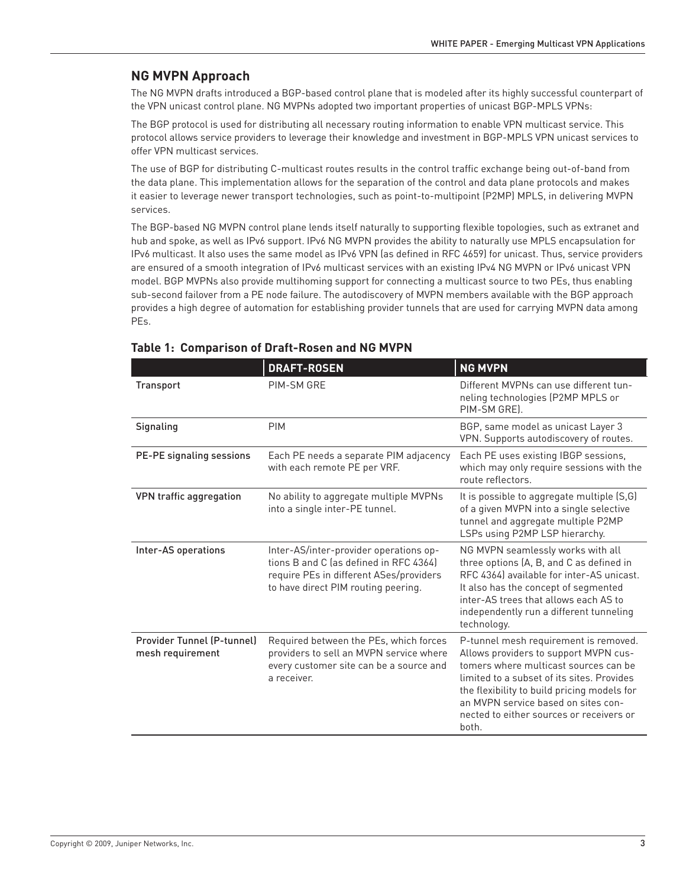## <span id="page-4-0"></span>**NG MVPN Approach**

The NG MVPN drafts introduced a BGP-based control plane that is modeled after its highly successful counterpart of the VPN unicast control plane. NG MVPNs adopted two important properties of unicast BGP-MPLS VPNs:

The BGP protocol is used for distributing all necessary routing information to enable VPN multicast service. This protocol allows service providers to leverage their knowledge and investment in BGP-MPLS VPN unicast services to offer VPN multicast services.

The use of BGP for distributing C-multicast routes results in the control traffic exchange being out-of-band from the data plane. This implementation allows for the separation of the control and data plane protocols and makes it easier to leverage newer transport technologies, such as point-to-multipoint (P2MP) MPLS, in delivering MVPN services.

The BGP-based NG MVPN control plane lends itself naturally to supporting flexible topologies, such as extranet and hub and spoke, as well as IPv6 support. IPv6 NG MVPN provides the ability to naturally use MPLS encapsulation for IPv6 multicast. It also uses the same model as IPv6 VPN (as defined in RFC 4659) for unicast. Thus, service providers are ensured of a smooth integration of IPv6 multicast services with an existing IPv4 NG MVPN or IPv6 unicast VPN model. BGP MVPNs also provide multihoming support for connecting a multicast source to two PEs, thus enabling sub-second failover from a PE node failure. The autodiscovery of MVPN members available with the BGP approach provides a high degree of automation for establishing provider tunnels that are used for carrying MVPN data among PEs.

|                                                       | <b>DRAFT-ROSEN</b>                                                                                                                                                 | <b>NG MVPN</b>                                                                                                                                                                                                                                                                                                   |
|-------------------------------------------------------|--------------------------------------------------------------------------------------------------------------------------------------------------------------------|------------------------------------------------------------------------------------------------------------------------------------------------------------------------------------------------------------------------------------------------------------------------------------------------------------------|
| <b>Transport</b>                                      | PIM-SM GRE                                                                                                                                                         | Different MVPNs can use different tun-<br>neling technologies (P2MP MPLS or<br>PIM-SM GREI.                                                                                                                                                                                                                      |
| Signaling                                             | <b>PIM</b>                                                                                                                                                         | BGP, same model as unicast Layer 3<br>VPN. Supports autodiscovery of routes.                                                                                                                                                                                                                                     |
| <b>PE-PE signaling sessions</b>                       | Each PE needs a separate PIM adjacency<br>with each remote PE per VRF.                                                                                             | Each PE uses existing IBGP sessions,<br>which may only require sessions with the<br>route reflectors.                                                                                                                                                                                                            |
| VPN traffic aggregation                               | No ability to aggregate multiple MVPNs<br>into a single inter-PE tunnel.                                                                                           | It is possible to aggregate multiple (S,G)<br>of a given MVPN into a single selective<br>tunnel and aggregate multiple P2MP<br>LSPs using P2MP LSP hierarchy.                                                                                                                                                    |
| Inter-AS operations                                   | Inter-AS/inter-provider operations op-<br>tions B and C (as defined in RFC 4364)<br>require PEs in different ASes/providers<br>to have direct PIM routing peering. | NG MVPN seamlessly works with all<br>three options (A, B, and C as defined in<br>RFC 4364) available for inter-AS unicast.<br>It also has the concept of segmented<br>inter-AS trees that allows each AS to<br>independently run a different tunneling<br>technology.                                            |
| <b>Provider Tunnel (P-tunnel)</b><br>mesh requirement | Required between the PEs, which forces<br>providers to sell an MVPN service where<br>every customer site can be a source and<br>a receiver.                        | P-tunnel mesh requirement is removed.<br>Allows providers to support MVPN cus-<br>tomers where multicast sources can be<br>limited to a subset of its sites. Provides<br>the flexibility to build pricing models for<br>an MVPN service based on sites con-<br>nected to either sources or receivers or<br>both. |

### **Table 1: Comparison of Draft-Rosen and NG MVPN**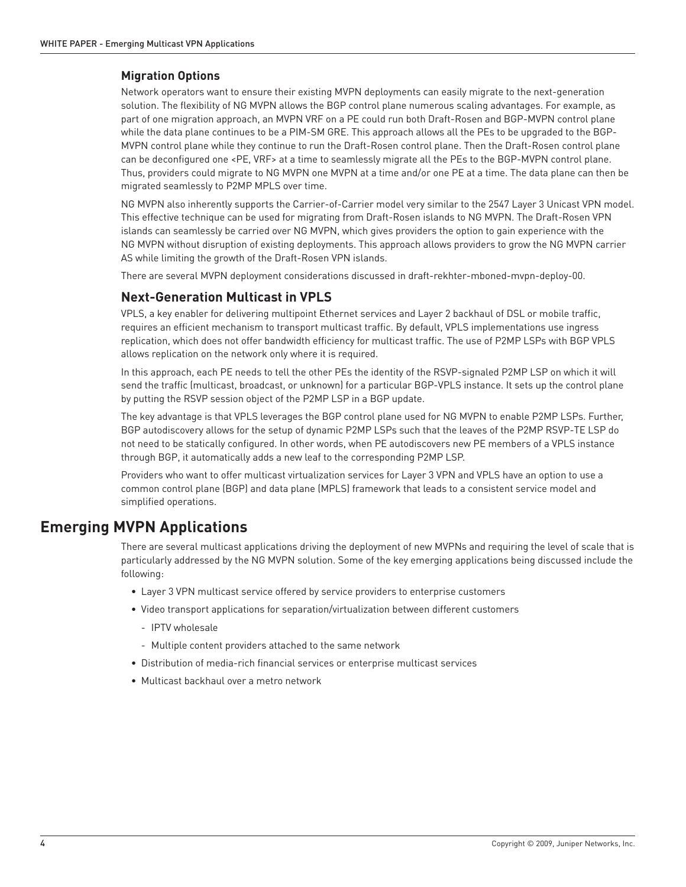#### <span id="page-5-0"></span>**Migration Options**

Network operators want to ensure their existing MVPN deployments can easily migrate to the next-generation solution. The flexibility of NG MVPN allows the BGP control plane numerous scaling advantages. For example, as part of one migration approach, an MVPN VRF on a PE could run both Draft-Rosen and BGP-MVPN control plane while the data plane continues to be a PIM-SM GRE. This approach allows all the PEs to be upgraded to the BGP-MVPN control plane while they continue to run the Draft-Rosen control plane. Then the Draft-Rosen control plane can be deconfigured one <PE, VRF> at a time to seamlessly migrate all the PEs to the BGP-MVPN control plane. Thus, providers could migrate to NG MVPN one MVPN at a time and/or one PE at a time. The data plane can then be migrated seamlessly to P2MP MPLS over time.

NG MVPN also inherently supports the Carrier-of-Carrier model very similar to the 2547 Layer 3 Unicast VPN model. This effective technique can be used for migrating from Draft-Rosen islands to NG MVPN. The Draft-Rosen VPN islands can seamlessly be carried over NG MVPN, which gives providers the option to gain experience with the NG MVPN without disruption of existing deployments. This approach allows providers to grow the NG MVPN carrier AS while limiting the growth of the Draft-Rosen VPN islands.

There are several MVPN deployment considerations discussed in draft-rekhter-mboned-mvpn-deploy-00.

#### **Next-Generation Multicast in VPLS**

VPLS, a key enabler for delivering multipoint Ethernet services and Layer 2 backhaul of DSL or mobile traffic, requires an efficient mechanism to transport multicast traffic. By default, VPLS implementations use ingress replication, which does not offer bandwidth efficiency for multicast traffic. The use of P2MP LSPs with BGP VPLS allows replication on the network only where it is required.

In this approach, each PE needs to tell the other PEs the identity of the RSVP-signaled P2MP LSP on which it will send the traffic (multicast, broadcast, or unknown) for a particular BGP-VPLS instance. It sets up the control plane by putting the RSVP session object of the P2MP LSP in a BGP update.

The key advantage is that VPLS leverages the BGP control plane used for NG MVPN to enable P2MP LSPs. Further, BGP autodiscovery allows for the setup of dynamic P2MP LSPs such that the leaves of the P2MP RSVP-TE LSP do not need to be statically configured. In other words, when PE autodiscovers new PE members of a VPLS instance through BGP, it automatically adds a new leaf to the corresponding P2MP LSP.

Providers who want to offer multicast virtualization services for Layer 3 VPN and VPLS have an option to use a common control plane (BGP) and data plane (MPLS) framework that leads to a consistent service model and simplified operations.

## **Emerging MVPN Applications**

There are several multicast applications driving the deployment of new MVPNs and requiring the level of scale that is particularly addressed by the NG MVPN solution. Some of the key emerging applications being discussed include the following:

- Layer 3 VPN multicast service offered by service providers to enterprise customers
- Video transport applications for separation/virtualization between different customers
	- IPTV wholesale
	- Multiple content providers attached to the same network
- • Distribution of media-rich financial services or enterprise multicast services
- Multicast backhaul over a metro network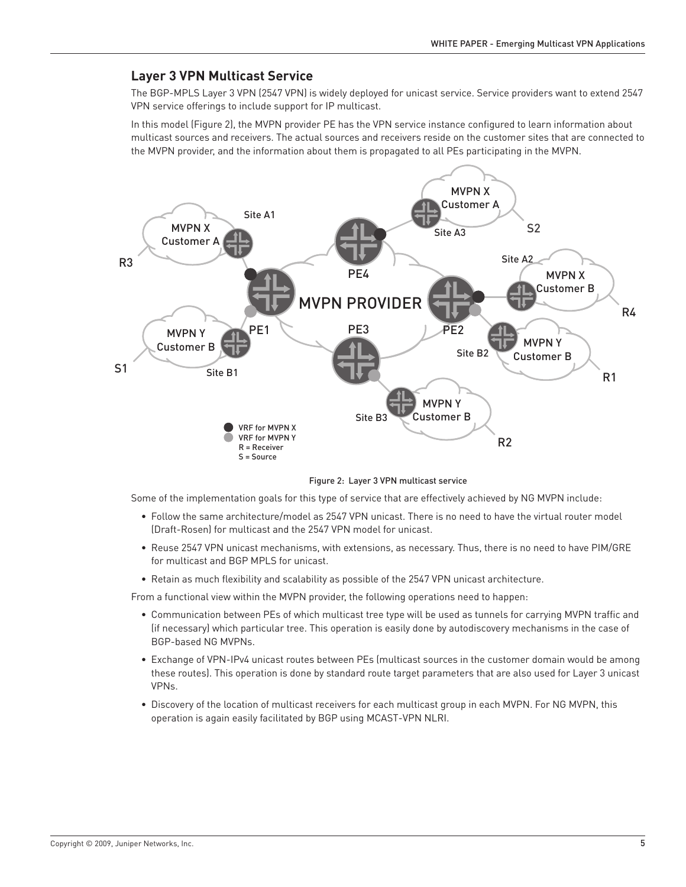#### <span id="page-6-0"></span>**Layer 3 VPN Multicast Service**

The BGP-MPLS Layer 3 VPN (2547 VPN) is widely deployed for unicast service. Service providers want to extend 2547 VPN service offerings to include support for IP multicast.

In this model (Figure 2), the MVPN provider PE has the VPN service instance configured to learn information about multicast sources and receivers. The actual sources and receivers reside on the customer sites that are connected to the MVPN provider, and the information about them is propagated to all PEs participating in the MVPN.



Figure 2: Layer 3 VPN multicast service

Some of the implementation goals for this type of service that are effectively achieved by NG MVPN include:

- • Follow the same architecture/model as 2547 VPN unicast. There is no need to have the virtual router model (Draft-Rosen) for multicast and the 2547 VPN model for unicast.
- • Reuse 2547 VPN unicast mechanisms, with extensions, as necessary. Thus, there is no need to have PIM/GRE for multicast and BGP MPLS for unicast.
- • Retain as much flexibility and scalability as possible of the 2547 VPN unicast architecture.

From a functional view within the MVPN provider, the following operations need to happen:

- • Communication between PEs of which multicast tree type will be used as tunnels for carrying MVPN traffic and (if necessary) which particular tree. This operation is easily done by autodiscovery mechanisms in the case of BGP-based NG MVPNs.
- • Exchange of VPN-IPv4 unicast routes between PEs (multicast sources in the customer domain would be among these routes). This operation is done by standard route target parameters that are also used for Layer 3 unicast VPNs.
- • Discovery of the location of multicast receivers for each multicast group in each MVPN. For NG MVPN, this operation is again easily facilitated by BGP using MCAST-VPN NLRI.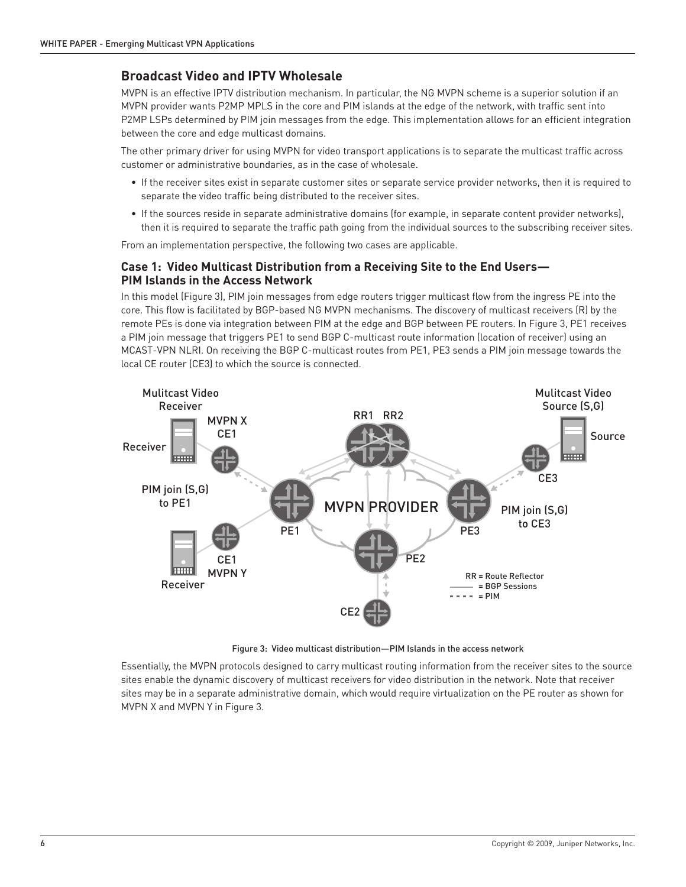## <span id="page-7-0"></span>**Broadcast Video and IPTV Wholesale**

MVPN is an effective IPTV distribution mechanism. In particular, the NG MVPN scheme is a superior solution if an MVPN provider wants P2MP MPLS in the core and PIM islands at the edge of the network, with traffic sent into P2MP LSPs determined by PIM join messages from the edge. This implementation allows for an efficient integration between the core and edge multicast domains.

The other primary driver for using MVPN for video transport applications is to separate the multicast traffic across customer or administrative boundaries, as in the case of wholesale.

- • If the receiver sites exist in separate customer sites or separate service provider networks, then it is required to separate the video traffic being distributed to the receiver sites.
- • If the sources reside in separate administrative domains (for example, in separate content provider networks), then it is required to separate the traffic path going from the individual sources to the subscribing receiver sites.

From an implementation perspective, the following two cases are applicable.

#### **Case 1: Video Multicast Distribution from a Receiving Site to the End Users— PIM Islands in the Access Network**

In this model (Figure 3), PIM join messages from edge routers trigger multicast flow from the ingress PE into the core. This flow is facilitated by BGP-based NG MVPN mechanisms. The discovery of multicast receivers (R) by the remote PEs is done via integration between PIM at the edge and BGP between PE routers. In Figure 3, PE1 receives a PIM join message that triggers PE1 to send BGP C-multicast route information (location of receiver) using an MCAST-VPN NLRI. On receiving the BGP C-multicast routes from PE1, PE3 sends a PIM join message towards the local CE router (CE3) to which the source is connected.



Figure 3: Video multicast distribution—PIM Islands in the access network

Essentially, the MVPN protocols designed to carry multicast routing information from the receiver sites to the source sites enable the dynamic discovery of multicast receivers for video distribution in the network. Note that receiver sites may be in a separate administrative domain, which would require virtualization on the PE router as shown for MVPN X and MVPN Y in Figure 3.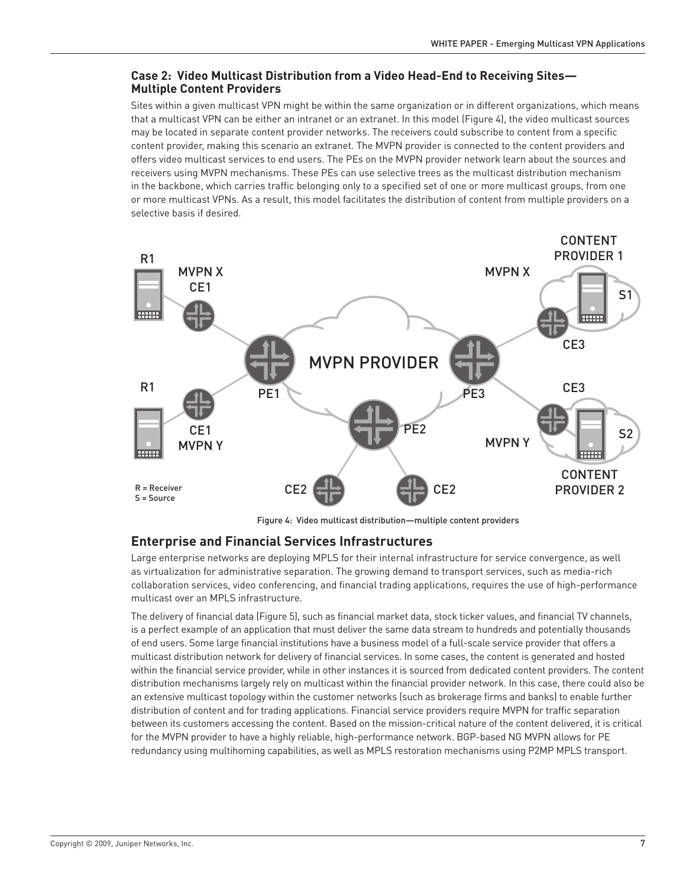#### <span id="page-8-0"></span>**Case 2: Video Multicast Distribution from a Video Head-End to Receiving Sites— Multiple Content Providers**

Sites within a given multicast VPN might be within the same organization or in different organizations, which means that a multicast VPN can be either an intranet or an extranet. In this model (Figure 4), the video multicast sources may be located in separate content provider networks. The receivers could subscribe to content from a specific content provider, making this scenario an extranet. The MVPN provider is connected to the content providers and offers video multicast services to end users. The PEs on the MVPN provider network learn about the sources and receivers using MVPN mechanisms. These PEs can use selective trees as the multicast distribution mechanism in the backbone, which carries traffic belonging only to a specified set of one or more multicast groups, from one or more multicast VPNs. As a result, this model facilitates the distribution of content from multiple providers on a selective basis if desired.



Figure 4: Video multicast distribution—multiple content providers

### **Enterprise and Financial Services Infrastructures**

Large enterprise networks are deploying MPLS for their internal infrastructure for service convergence, as well as virtualization for administrative separation. The growing demand to transport services, such as media-rich collaboration services, video conferencing, and financial trading applications, requires the use of high-performance multicast over an MPLS infrastructure.

The delivery of financial data (Figure 5), such as financial market data, stock ticker values, and financial TV channels, is a perfect example of an application that must deliver the same data stream to hundreds and potentially thousands of end users. Some large financial institutions have a business model of a full-scale service provider that offers a multicast distribution network for delivery of financial services. In some cases, the content is generated and hosted within the financial service provider, while in other instances it is sourced from dedicated content providers. The content distribution mechanisms largely rely on multicast within the financial provider network. In this case, there could also be an extensive multicast topology within the customer networks (such as brokerage firms and banks) to enable further distribution of content and for trading applications. Financial service providers require MVPN for traffic separation between its customers accessing the content. Based on the mission-critical nature of the content delivered, it is critical for the MVPN provider to have a highly reliable, high-performance network. BGP-based NG MVPN allows for PE redundancy using multihoming capabilities, as well as MPLS restoration mechanisms using P2MP MPLS transport.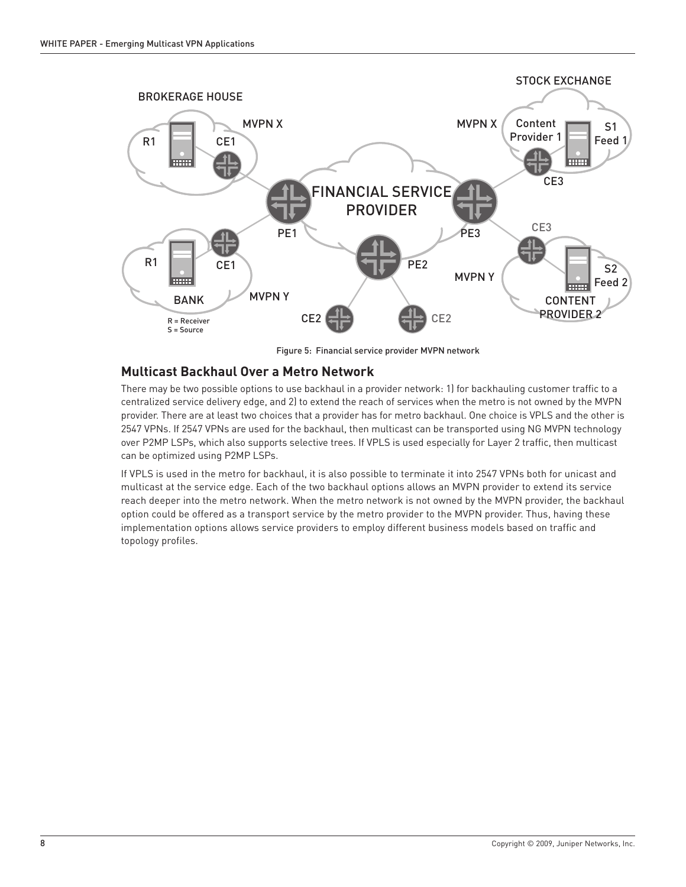<span id="page-9-0"></span>

Figure 5: Financial service provider MVPN network

### **Multicast Backhaul Over a Metro Network**

There may be two possible options to use backhaul in a provider network: 1) for backhauling customer traffic to a centralized service delivery edge, and 2) to extend the reach of services when the metro is not owned by the MVPN provider. There are at least two choices that a provider has for metro backhaul. One choice is VPLS and the other is 2547 VPNs. If 2547 VPNs are used for the backhaul, then multicast can be transported using NG MVPN technology over P2MP LSPs, which also supports selective trees. If VPLS is used especially for Layer 2 traffic, then multicast can be optimized using P2MP LSPs.

If VPLS is used in the metro for backhaul, it is also possible to terminate it into 2547 VPNs both for unicast and multicast at the service edge. Each of the two backhaul options allows an MVPN provider to extend its service reach deeper into the metro network. When the metro network is not owned by the MVPN provider, the backhaul option could be offered as a transport service by the metro provider to the MVPN provider. Thus, having these implementation options allows service providers to employ different business models based on traffic and topology profiles.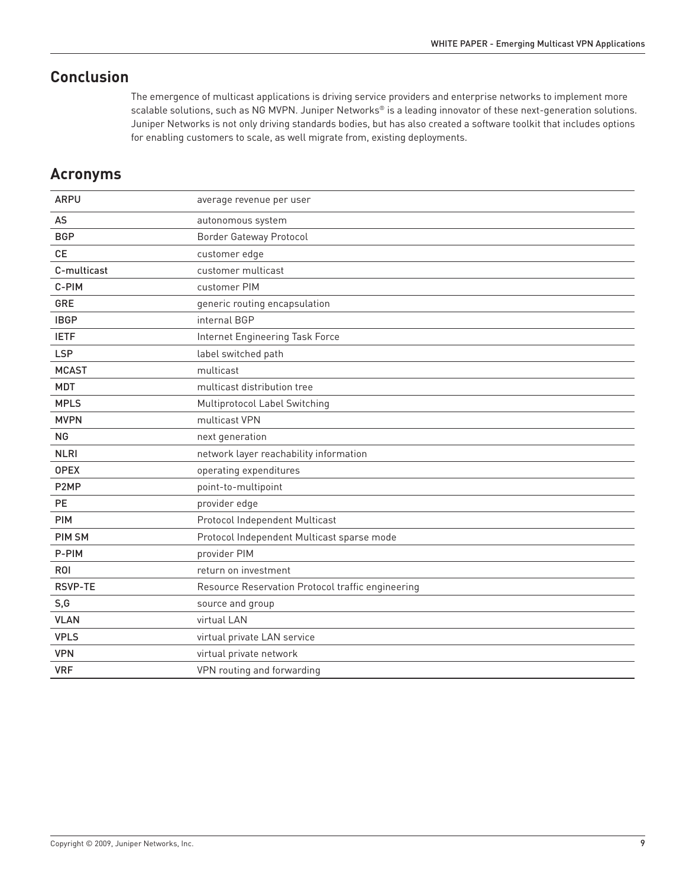# <span id="page-10-0"></span>**Conclusion**

The emergence of multicast applications is driving service providers and enterprise networks to implement more scalable solutions, such as NG MVPN. Juniper Networks® is a leading innovator of these next-generation solutions. Juniper Networks is not only driving standards bodies, but has also created a software toolkit that includes options for enabling customers to scale, as well migrate from, existing deployments.

## **Acronyms**

| <b>ARPU</b>       | average revenue per user                          |
|-------------------|---------------------------------------------------|
| AS                | autonomous system                                 |
| <b>BGP</b>        | <b>Border Gateway Protocol</b>                    |
| <b>CE</b>         | customer edge                                     |
| C-multicast       | customer multicast                                |
| C-PIM             | customer PIM                                      |
| GRE               | generic routing encapsulation                     |
| <b>IBGP</b>       | internal BGP                                      |
| <b>IETF</b>       | Internet Engineering Task Force                   |
| <b>LSP</b>        | label switched path                               |
| <b>MCAST</b>      | multicast                                         |
| <b>MDT</b>        | multicast distribution tree                       |
| <b>MPLS</b>       | Multiprotocol Label Switching                     |
| <b>MVPN</b>       | multicast VPN                                     |
| <b>NG</b>         | next generation                                   |
| <b>NLRI</b>       | network layer reachability information            |
| <b>OPEX</b>       | operating expenditures                            |
| P <sub>2</sub> MP | point-to-multipoint                               |
| <b>PE</b>         | provider edge                                     |
| <b>PIM</b>        | Protocol Independent Multicast                    |
| <b>PIM SM</b>     | Protocol Independent Multicast sparse mode        |
| P-PIM             | provider PIM                                      |
| <b>ROI</b>        | return on investment                              |
| <b>RSVP-TE</b>    | Resource Reservation Protocol traffic engineering |
| S,G               | source and group                                  |
| <b>VLAN</b>       | virtual LAN                                       |
| <b>VPLS</b>       | virtual private LAN service                       |
| <b>VPN</b>        | virtual private network                           |
| <b>VRF</b>        | VPN routing and forwarding                        |